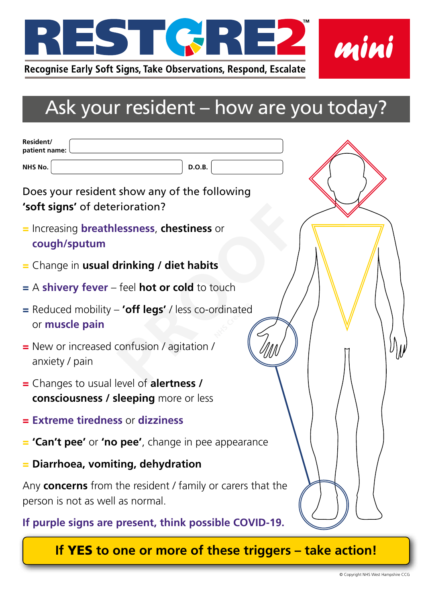

## Ask your resident – how are you today?

| Resident/<br>patient name:                                                                            |
|-------------------------------------------------------------------------------------------------------|
| <b>D.O.B.</b><br>NHS No.                                                                              |
| Does your resident show any of the following<br>'soft signs' of deterioration?                        |
| = Increasing <b>breathlessness, chestiness</b> or<br>cough/sputum                                     |
| $=$ Change in usual drinking / diet habits                                                            |
| $=$ A shivery fever – feel hot or cold to touch                                                       |
| $=$ Reduced mobility $-$ <b>'off legs'</b> / less co-ordinated<br>or <b>muscle pain</b>               |
| = New or increased confusion / agitation /<br>anxiety / pain                                          |
| = Changes to usual level of <b>alertness</b> /<br><b>consciousness / sleeping</b> more or less        |
| = Extreme tiredness or dizziness                                                                      |
| <b>= 'Can't pee'</b> or <b>'no pee'</b> , change in pee appearance                                    |
| $=$ Diarrhoea, vomiting, dehydration                                                                  |
| Any <b>concerns</b> from the resident / family or carers that the<br>person is not as well as normal. |
| If purple signs are present, think possible COVID-19.                                                 |

**If** YES **to one or more of these triggers – take action!**

*mini*